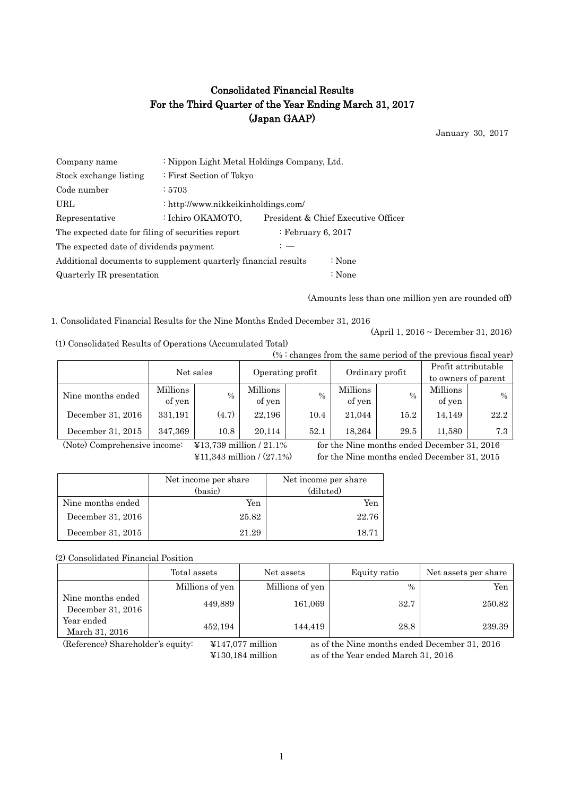# Consolidated Financial Results For the Third Quarter of the Year Ending March 31, 2017 (Japan GAAP)

January 30, 2017

| Company name                                                   | : Nippon Light Metal Holdings Company, Ltd. |                    |                                     |  |  |  |
|----------------------------------------------------------------|---------------------------------------------|--------------------|-------------------------------------|--|--|--|
| Stock exchange listing                                         | : First Section of Tokyo                    |                    |                                     |  |  |  |
| Code number                                                    | :5703                                       |                    |                                     |  |  |  |
| URL.                                                           | : http://www.nikkeikinholdings.com/         |                    |                                     |  |  |  |
| Representative                                                 | : Ichiro OKAMOTO,                           |                    | President & Chief Executive Officer |  |  |  |
| The expected date for filing of securities report              |                                             | : February 6, 2017 |                                     |  |  |  |
| The expected date of dividends payment                         |                                             | $: -$              |                                     |  |  |  |
| Additional documents to supplement quarterly financial results |                                             | : None             |                                     |  |  |  |
| Quarterly IR presentation                                      |                                             | : None             |                                     |  |  |  |

(Amounts less than one million yen are rounded off)

1. Consolidated Financial Results for the Nine Months Ended December 31, 2016

(1) Consolidated Results of Operations (Accumulated Total)

 $(% : \text{changes from the same period of the previous fixed year})$ 

(April 1, 2016 ~ December 31, 2016)

| (%) changes from the same period of the previous fiscal year) |                    |       |                    |               |                    |                 |                     |      |  |
|---------------------------------------------------------------|--------------------|-------|--------------------|---------------|--------------------|-----------------|---------------------|------|--|
|                                                               | Net sales          |       |                    |               |                    | Ordinary profit | Profit attributable |      |  |
|                                                               |                    |       | Operating profit   |               |                    |                 | to owners of parent |      |  |
| Nine months ended                                             | Millions<br>of yen | $\%$  | Millions<br>of yen | $\frac{0}{0}$ | Millions<br>of yen | $\%$            | Millions<br>of yen  | $\%$ |  |
| December 31, 2016                                             | 331,191            | (4.7) | 22.196             | 10.4          | 21,044             | 15.2            | 14.149              | 22.2 |  |
| December 31, 2015                                             | 347,369            | 10.8  | 20.114             | 52.1          | 18.264             | 29.5            | 11.580              | 7.3  |  |

(Note) Comprehensive income: ¥13,739 million / 21.1% for the Nine months ended December 31, 2016

¥11,343 million / (27.1%) for the Nine months ended December 31, 2015

|                   | Net income per share<br>(basic) | Net income per share<br>(diluted) |
|-------------------|---------------------------------|-----------------------------------|
| Nine months ended | Yen                             | Yen                               |
| December 31, 2016 | 25.82                           | 22.76                             |
| December 31, 2015 | 21.29                           | 18.71                             |

(2) Consolidated Financial Position

|                                        | Total assets    | Net assets      | Equity ratio  | Net assets per share |
|----------------------------------------|-----------------|-----------------|---------------|----------------------|
|                                        | Millions of yen | Millions of yen | $\frac{0}{0}$ | Yen                  |
| Nine months ended<br>December 31, 2016 | 449,889         | 161,069         | 32.7          | 250.82               |
| Year ended<br>March 31, 2016           | 452,194         | 144,419         | 28.8          | 239.39               |

(Reference) Shareholder's equity: ¥147,077 million as of the Nine months ended December 31, 2016 ¥130,184 million as of the Year ended March 31, 2016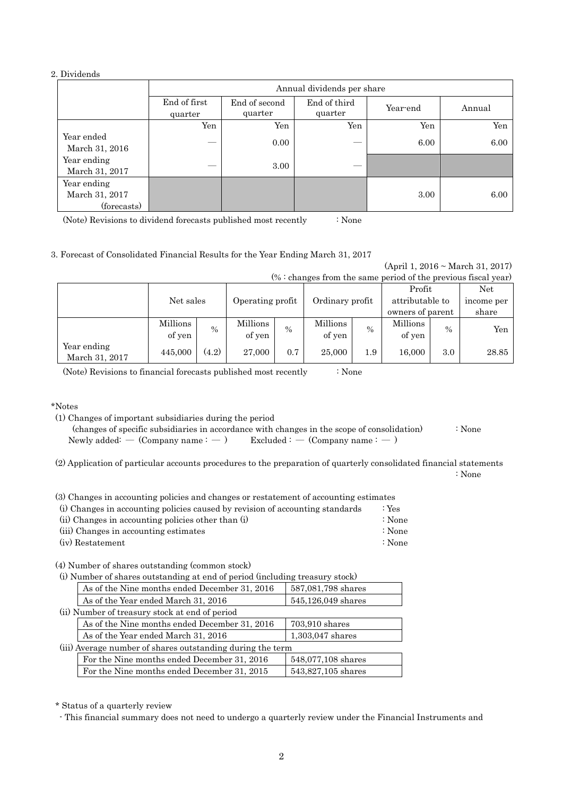#### 2. Dividends

|                                              | Annual dividends per share |                          |                         |          |        |  |  |  |
|----------------------------------------------|----------------------------|--------------------------|-------------------------|----------|--------|--|--|--|
|                                              | End of first<br>quarter    | End of second<br>quarter | End of third<br>quarter | Year-end | Annual |  |  |  |
|                                              | Yen                        | Yen                      | Yen                     | Yen      | Yen    |  |  |  |
| Year ended<br>March 31, 2016                 |                            | 0.00                     |                         | 6.00     | 6.00   |  |  |  |
| Year ending<br>March 31, 2017                |                            | 3.00                     |                         |          |        |  |  |  |
| Year ending<br>March 31, 2017<br>(forecasts) |                            |                          |                         | 3.00     | 6.00   |  |  |  |

(Note) Revisions to dividend forecasts published most recently : None

#### 3. Forecast of Consolidated Financial Results for the Year Ending March 31, 2017

(April 1, 2016 ~ March 31, 2017)

| $% :$ changes from the same period of the previous fiscal year) |                    |       |                    |      |                    |      |                    |               |            |
|-----------------------------------------------------------------|--------------------|-------|--------------------|------|--------------------|------|--------------------|---------------|------------|
|                                                                 |                    |       |                    |      |                    |      | Profit             |               | Net        |
|                                                                 | Net sales          |       | Operating profit   |      | Ordinary profit    |      | attributable to    |               | income per |
|                                                                 |                    |       |                    |      |                    |      | owners of parent   |               | share      |
|                                                                 | Millions<br>of yen | $\%$  | Millions<br>of yen | $\%$ | Millions<br>of yen | $\%$ | Millions<br>of yen | $\frac{0}{0}$ | Yen        |
| Year ending<br>March 31, 2017                                   | 445,000            | (4.2) | 27,000             | 0.7  | 25,000             | 1.9  | 16,000             | 3.0           | 28.85      |

(Note) Revisions to financial forecasts published most recently : None

\*Notes

(1) Changes of important subsidiaries during the period

 (changes of specific subsidiaries in accordance with changes in the scope of consolidation) : None Newly added: —  $(Comparing a tree)$  Excluded : —  $(Comparing a tree)$ 

(2) Application of particular accounts procedures to the preparation of quarterly consolidated financial statements : None

|  |  |  |  | (3) Changes in accounting policies and changes or restatement of accounting estimates |  |  |
|--|--|--|--|---------------------------------------------------------------------------------------|--|--|
|  |  |  |  |                                                                                       |  |  |

| (i) Changes in accounting policies caused by revision of accounting standards | : $Yes$ |
|-------------------------------------------------------------------------------|---------|
| (ii) Changes in accounting policies other than (i)                            | ∶ None  |
| (iii) Changes in accounting estimates                                         | ∶ None  |
| (iv) Restatement                                                              | ∶ None  |

(4) Number of shares outstanding (common stock)

| (i) Number of shares outstanding at end of period (including treasury stock) |                    |  |  |  |  |
|------------------------------------------------------------------------------|--------------------|--|--|--|--|
| As of the Nine months ended December 31, 2016                                | 587,081,798 shares |  |  |  |  |
| As of the Year ended March 31, 2016                                          | 545,126,049 shares |  |  |  |  |
| (ii) Number of treasury stock at end of period                               |                    |  |  |  |  |
| As of the Nine months ended December 31, 2016                                | 703,910 shares     |  |  |  |  |
| As of the Year ended March 31, 2016                                          | 1,303,047 shares   |  |  |  |  |
| (iii) Average number of shares outstanding during the term                   |                    |  |  |  |  |
| For the Nine months ended December 31, 2016                                  | 548,077,108 shares |  |  |  |  |
| For the Nine months ended December 31, 2015                                  | 543,827,105 shares |  |  |  |  |

\* Status of a quarterly review

- This financial summary does not need to undergo a quarterly review under the Financial Instruments and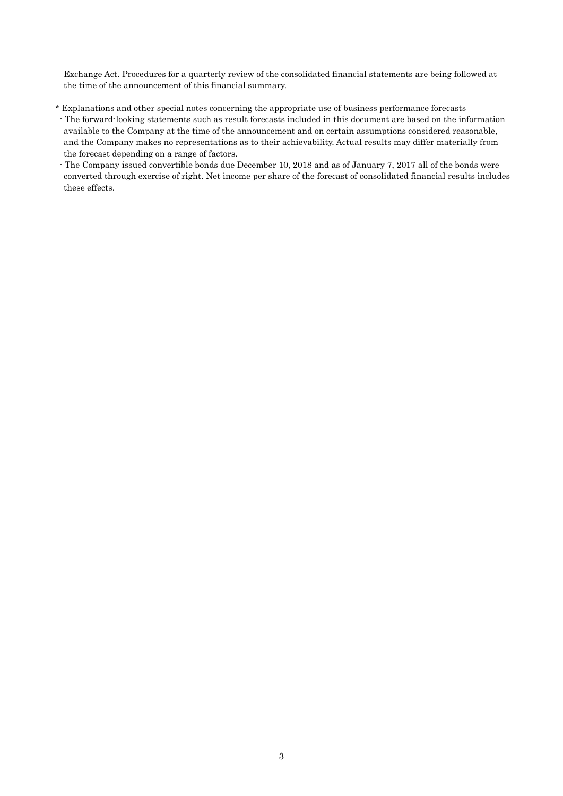Exchange Act. Procedures for a quarterly review of the consolidated financial statements are being followed at the time of the announcement of this financial summary.

- \* Explanations and other special notes concerning the appropriate use of business performance forecasts
- The forward-looking statements such as result forecasts included in this document are based on the information available to the Company at the time of the announcement and on certain assumptions considered reasonable, and the Company makes no representations as to their achievability. Actual results may differ materially from the forecast depending on a range of factors.
- The Company issued convertible bonds due December 10, 2018 and as of January 7, 2017 all of the bonds were converted through exercise of right. Net income per share of the forecast of consolidated financial results includes these effects.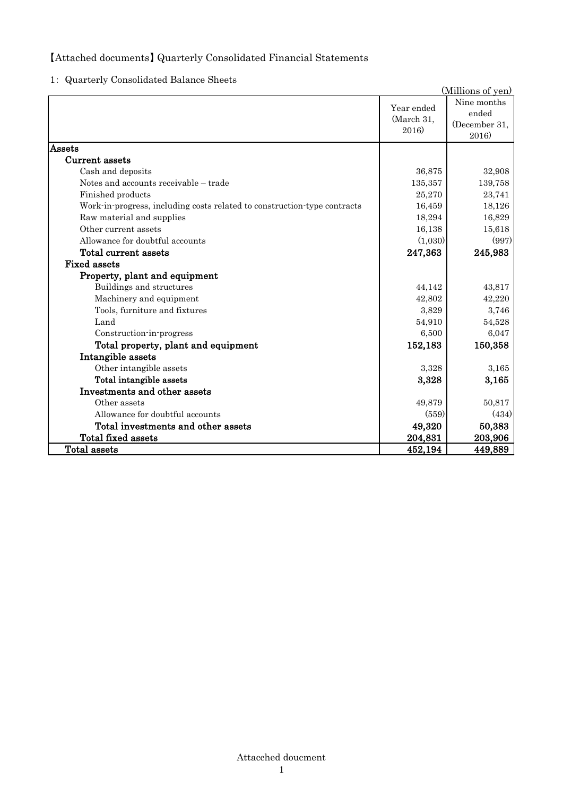## 【Attached documents】 Quarterly Consolidated Financial Statements

1: Quarterly Consolidated Balance Sheets

|                                                                          |                                   | (Millions of yen)                              |
|--------------------------------------------------------------------------|-----------------------------------|------------------------------------------------|
|                                                                          | Year ended<br>(March 31,<br>2016) | Nine months<br>ended<br>(December 31,<br>2016) |
| Assets                                                                   |                                   |                                                |
| Current assets                                                           |                                   |                                                |
| Cash and deposits                                                        | 36,875                            | 32,908                                         |
| Notes and accounts receivable - trade                                    | 135,357                           | 139,758                                        |
| Finished products                                                        | 25,270                            | 23,741                                         |
| Work-in-progress, including costs related to construction-type contracts | 16,459                            | 18,126                                         |
| Raw material and supplies                                                | 18,294                            | 16,829                                         |
| Other current assets                                                     | 16,138                            | 15,618                                         |
| Allowance for doubtful accounts                                          | (1,030)                           | (997)                                          |
| <b>Total current assets</b>                                              | 247,363                           | 245,983                                        |
| <b>Fixed assets</b>                                                      |                                   |                                                |
| Property, plant and equipment                                            |                                   |                                                |
| Buildings and structures                                                 | 44,142                            | 43,817                                         |
| Machinery and equipment                                                  | 42,802                            | 42,220                                         |
| Tools, furniture and fixtures                                            | 3,829                             | 3,746                                          |
| Land                                                                     | 54,910                            | 54,528                                         |
| Construction-in-progress                                                 | 6,500                             | 6,047                                          |
| Total property, plant and equipment                                      | 152,183                           | 150,358                                        |
| Intangible assets                                                        |                                   |                                                |
| Other intangible assets                                                  | 3,328                             | 3,165                                          |
| Total intangible assets                                                  | 3,328                             | 3,165                                          |
| Investments and other assets                                             |                                   |                                                |
| Other assets                                                             | 49,879                            | 50,817                                         |
| Allowance for doubtful accounts                                          | (559)                             | (434)                                          |
| Total investments and other assets                                       | 49,320                            | 50,383                                         |
| Total fixed assets                                                       | 204,831                           | 203,906                                        |
| Total assets                                                             | 452,194                           | 449,889                                        |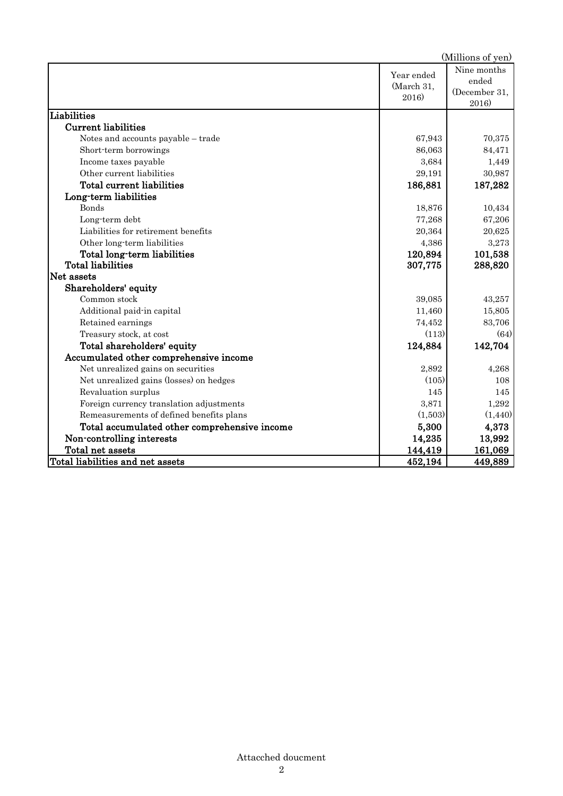|                                              |                                   | (Millions of yen)                              |
|----------------------------------------------|-----------------------------------|------------------------------------------------|
|                                              | Year ended<br>(March 31,<br>2016) | Nine months<br>ended<br>(December 31,<br>2016) |
| Liabilities                                  |                                   |                                                |
| <b>Current liabilities</b>                   |                                   |                                                |
| Notes and accounts payable - trade           | 67,943                            | 70,375                                         |
| Short-term borrowings                        | 86,063                            | 84,471                                         |
| Income taxes payable                         | 3,684                             | 1,449                                          |
| Other current liabilities                    | 29,191                            | 30,987                                         |
| Total current liabilities                    | 186,881                           | 187,282                                        |
| Long-term liabilities                        |                                   |                                                |
| <b>Bonds</b>                                 | 18,876                            | 10,434                                         |
| Long-term debt                               | 77,268                            | 67,206                                         |
| Liabilities for retirement benefits          | 20,364                            | 20,625                                         |
| Other long-term liabilities                  | 4,386                             | 3,273                                          |
| Total long-term liabilities                  | 120,894                           | 101,538                                        |
| <b>Total liabilities</b>                     | 307,775                           | 288,820                                        |
| Net assets                                   |                                   |                                                |
| Shareholders' equity                         |                                   |                                                |
| Common stock                                 | 39,085                            | 43,257                                         |
| Additional paid-in capital                   | 11,460                            | 15,805                                         |
| Retained earnings                            | 74,452                            | 83,706                                         |
| Treasury stock, at cost                      | (113)                             | (64)                                           |
| Total shareholders' equity                   | 124,884                           | 142,704                                        |
| Accumulated other comprehensive income       |                                   |                                                |
| Net unrealized gains on securities           | 2,892                             | 4,268                                          |
| Net unrealized gains (losses) on hedges      | (105)                             | 108                                            |
| Revaluation surplus                          | 145                               | 145                                            |
| Foreign currency translation adjustments     | 3,871                             | 1,292                                          |
| Remeasurements of defined benefits plans     | (1,503)                           | (1,440)                                        |
| Total accumulated other comprehensive income | 5,300                             | 4,373                                          |
| Non-controlling interests                    | 14,235                            | 13,992                                         |
| Total net assets                             | 144,419                           | 161,069                                        |
| Total liabilities and net assets             | 452,194                           | 449,889                                        |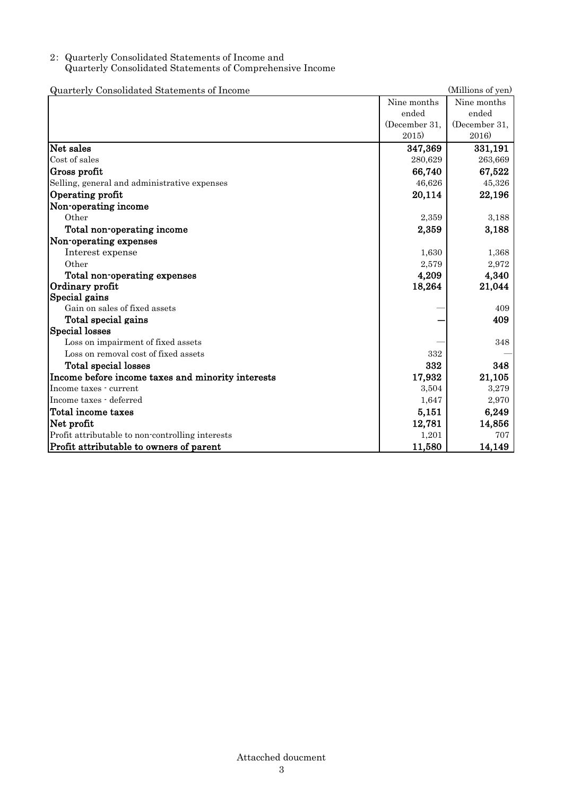### 2: Quarterly Consolidated Statements of Income and Quarterly Consolidated Statements of Comprehensive Income

| Quarterly Consolidated Statements of Income       |               | (Millions of yen) |
|---------------------------------------------------|---------------|-------------------|
|                                                   | Nine months   | Nine months       |
|                                                   | ended         | ended             |
|                                                   | (December 31, | (December 31,     |
|                                                   | 2015)         | 2016)             |
| Net sales                                         | 347,369       | 331,191           |
| Cost of sales                                     | 280,629       | 263,669           |
| Gross profit                                      | 66,740        | 67,522            |
| Selling, general and administrative expenses      | 46,626        | 45,326            |
| Operating profit                                  | 20,114        | 22,196            |
| Non-operating income                              |               |                   |
| Other                                             | 2,359         | 3,188             |
| Total non-operating income                        | 2,359         | 3,188             |
| Non-operating expenses                            |               |                   |
| Interest expense                                  | 1,630         | 1,368             |
| Other                                             | 2,579         | 2,972             |
| Total non-operating expenses                      | 4,209         | 4,340             |
| Ordinary profit                                   | 18,264        | 21,044            |
| Special gains                                     |               |                   |
| Gain on sales of fixed assets                     |               | 409               |
| Total special gains                               |               | 409               |
| <b>Special losses</b>                             |               |                   |
| Loss on impairment of fixed assets                |               | 348               |
| Loss on removal cost of fixed assets              | 332           |                   |
| Total special losses                              | 332           | 348               |
| Income before income taxes and minority interests | 17,932        | 21,105            |
| Income taxes - current                            | 3,504         | 3,279             |
| Income taxes - deferred                           | 1,647         | 2,970             |
| Total income taxes                                | 5,151         | 6,249             |
| Net profit                                        | 12,781        | 14,856            |
| Profit attributable to non-controlling interests  | 1,201         | 707               |
| Profit attributable to owners of parent           | 11,580        | 14,149            |